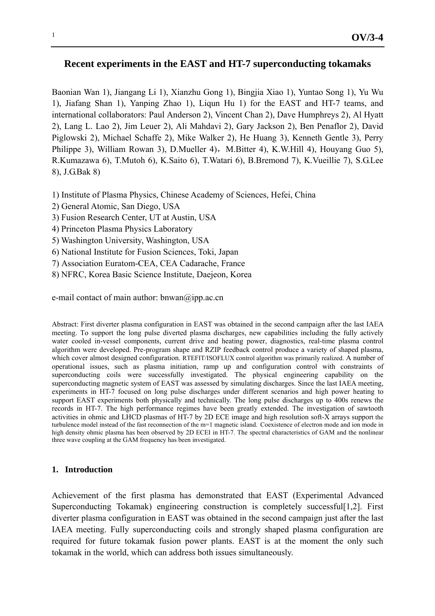# **Recent experiments in the EAST and HT-7 superconducting tokamaks**

Baonian Wan 1), Jiangang Li 1), Xianzhu Gong 1), Bingjia Xiao 1), Yuntao Song 1), Yu Wu 1), Jiafang Shan 1), Yanping Zhao 1), Liqun Hu 1) for the EAST and HT-7 teams, and international collaborators: Paul Anderson 2), Vincent Chan 2), Dave Humphreys 2), Al Hyatt 2), Lang L. Lao 2), Jim Leuer 2), Ali Mahdavi 2), Gary Jackson 2), Ben Penaflor 2), David Piglowski 2), Michael Schaffe 2), Mike Walker 2), He Huang 3), Kenneth Gentle 3), Perry Philippe 3), William Rowan 3), D.Mueller 4), M.Bitter 4), K.W.Hill 4), Houyang Guo 5), R.Kumazawa 6), T.Mutoh 6), K.Saito 6), T.Watari 6), B.Bremond 7), K.Vueillie 7), S.G.Lee 8), J.G.Bak 8)

- 1) Institute of Plasma Physics, Chinese Academy of Sciences, Hefei, China
- 2) General Atomic, San Diego, USA
- 3) Fusion Research Center, UT at Austin, USA
- 4) Princeton Plasma Physics Laboratory
- 5) Washington University, Washington, USA
- 6) National Institute for Fusion Sciences, Toki, Japan
- 7) Association Euratom-CEA, CEA Cadarache, France
- 8) NFRC, Korea Basic Science Institute, Daejeon, Korea

e-mail contact of main author:  $b$ nwan $\omega$ ipp.ac.cn

Abstract: First diverter plasma configuration in EAST was obtained in the second campaign after the last IAEA meeting. To support the long pulse diverted plasma discharges, new capabilities including the fully actively water cooled in-vessel components, current drive and heating power, diagnostics, real-time plasma control algorithm were developed. Pre-program shape and RZIP feedback control produce a variety of shaped plasma, which cover almost designed configuration. RTEFIT/ISOFLUX control algorithm was primarily realized. A number of operational issues, such as plasma initiation, ramp up and configuration control with constraints of superconducting coils were successfully investigated. The physical engineering capability on the superconducting magnetic system of EAST was assessed by simulating discharges. Since the last IAEA meeting, experiments in HT-7 focused on long pulse discharges under different scenarios and high power heating to support EAST experiments both physically and technically. The long pulse discharges up to 400s renews the records in HT-7. The high performance regimes have been greatly extended. The investigation of sawtooth activities in ohmic and LHCD plasmas of HT-7 by 2D ECE image and high resolution soft-X arrays support the turbulence model instead of the fast reconnection of the m=1 magnetic island. Coexistence of electron mode and ion mode in high density ohmic plasma has been observed by 2D ECEI in HT-7. The spectral characteristics of GAM and the nonlinear three wave coupling at the GAM frequency has been investigated.

## **1. Introduction**

Achievement of the first plasma has demonstrated that EAST (Experimental Advanced Superconducting Tokamak) engineering construction is completely successful[1,2]. First diverter plasma configuration in EAST was obtained in the second campaign just after the last IAEA meeting. Fully superconducting coils and strongly shaped plasma configuration are required for future tokamak fusion power plants. EAST is at the moment the only such tokamak in the world, which can address both issues simultaneously.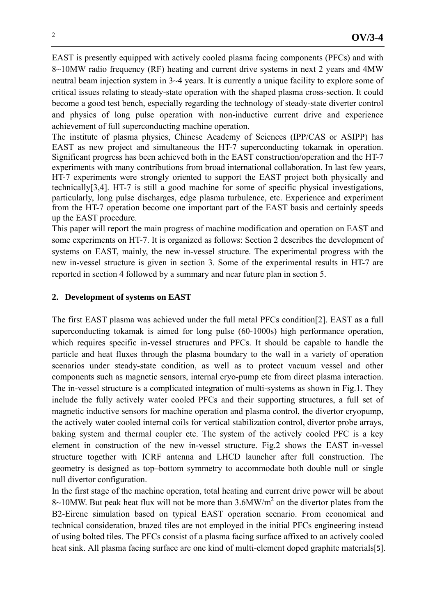EAST is presently equipped with actively cooled plasma facing components (PFCs) and with 8~10MW radio frequency (RF) heating and current drive systems in next 2 years and 4MW neutral beam injection system in 3~4 years. It is currently a unique facility to explore some of critical issues relating to steady-state operation with the shaped plasma cross-section. It could become a good test bench, especially regarding the technology of steady-state diverter control and physics of long pulse operation with non-inductive current drive and experience achievement of full superconducting machine operation.

The institute of plasma physics, Chinese Academy of Sciences (IPP/CAS or ASIPP) has EAST as new project and simultaneous the HT-7 superconducting tokamak in operation. Significant progress has been achieved both in the EAST construction/operation and the HT-7 experiments with many contributions from broad international collaboration. In last few years, HT-7 experiments were strongly oriented to support the EAST project both physically and technically[3,4]. HT-7 is still a good machine for some of specific physical investigations, particularly, long pulse discharges, edge plasma turbulence, etc. Experience and experiment from the HT-7 operation become one important part of the EAST basis and certainly speeds up the EAST procedure.

This paper will report the main progress of machine modification and operation on EAST and some experiments on HT-7. It is organized as follows: Section 2 describes the development of systems on EAST, mainly, the new in-vessel structure. The experimental progress with the new in-vessel structure is given in section 3. Some of the experimental results in HT-7 are reported in section 4 followed by a summary and near future plan in section 5.

# **2. Development of systems on EAST**

The first EAST plasma was achieved under the full metal PFCs condition[2]. EAST as a full superconducting tokamak is aimed for long pulse (60-1000s) high performance operation, which requires specific in-vessel structures and PFCs. It should be capable to handle the particle and heat fluxes through the plasma boundary to the wall in a variety of operation scenarios under steady-state condition, as well as to protect vacuum vessel and other components such as magnetic sensors, internal cryo-pump etc from direct plasma interaction. The in-vessel structure is a complicated integration of multi-systems as shown in Fig.1. They include the fully actively water cooled PFCs and their supporting structures, a full set of magnetic inductive sensors for machine operation and plasma control, the divertor cryopump, the actively water cooled internal coils for vertical stabilization control, divertor probe arrays, baking system and thermal coupler etc. The system of the actively cooled PFC is a key element in construction of the new in-vessel structure. Fig.2 shows the EAST in-vessel structure together with ICRF antenna and LHCD launcher after full construction. The geometry is designed as top–bottom symmetry to accommodate both double null or single null divertor configuration.

In the first stage of the machine operation, total heating and current drive power will be about  $8 \sim 10$ MW. But peak heat flux will not be more than 3.6MW/ $m<sup>2</sup>$  on the divertor plates from the B2-Eirene simulation based on typical EAST operation scenario. From economical and technical consideration, brazed tiles are not employed in the initial PFCs engineering instead of using bolted tiles. The PFCs consist of a plasma facing surface affixed to an actively cooled heat sink. All plasma facing surface are one kind of multi-element doped graphite materials[**5**].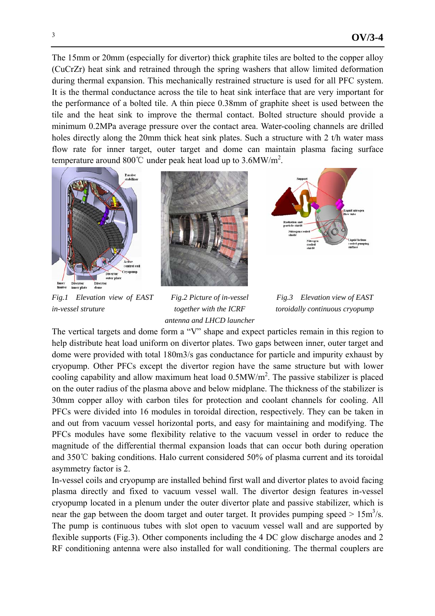The 15mm or 20mm (especially for divertor) thick graphite tiles are bolted to the copper alloy (CuCrZr) heat sink and retrained through the spring washers that allow limited deformation during thermal expansion. This mechanically restrained structure is used for all PFC system. It is the thermal conductance across the tile to heat sink interface that are very important for the performance of a bolted tile. A thin piece 0.38mm of graphite sheet is used between the tile and the heat sink to improve the thermal contact. Bolted structure should provide a minimum 0.2MPa average pressure over the contact area. Water-cooling channels are drilled holes directly along the 20mm thick heat sink plates. Such a structure with 2 t/h water mass flow rate for inner target, outer target and dome can maintain plasma facing surface temperature around 800°C under peak heat load up to 3.6MW/m<sup>2</sup>.



*Fig.1 Elevation view of EAST in-vessel struture* 



*Fig.2 Picture of in-vessel together with the ICRF antenna and LHCD launcher* 





The vertical targets and dome form a "V" shape and expect particles remain in this region to help distribute heat load uniform on divertor plates. Two gaps between inner, outer target and dome were provided with total 180m3/s gas conductance for particle and impurity exhaust by cryopump. Other PFCs except the divertor region have the same structure but with lower cooling capability and allow maximum heat load  $0.5MW/m<sup>2</sup>$ . The passive stabilizer is placed on the outer radius of the plasma above and below midplane. The thickness of the stabilizer is 30mm copper alloy with carbon tiles for protection and coolant channels for cooling. All PFCs were divided into 16 modules in toroidal direction, respectively. They can be taken in and out from vacuum vessel horizontal ports, and easy for maintaining and modifying. The PFCs modules have some flexibility relative to the vacuum vessel in order to reduce the magnitude of the differential thermal expansion loads that can occur both during operation and 350℃ baking conditions. Halo current considered 50% of plasma current and its toroidal asymmetry factor is 2.

In-vessel coils and cryopump are installed behind first wall and divertor plates to avoid facing plasma directly and fixed to vacuum vessel wall. The divertor design features in-vessel cryopump located in a plenum under the outer divertor plate and passive stabilizer, which is near the gap between the doom target and outer target. It provides pumping speed  $> 15 \text{m}^3/\text{s}$ . The pump is continuous tubes with slot open to vacuum vessel wall and are supported by flexible supports (Fig.3). Other components including the 4 DC glow discharge anodes and 2 RF conditioning antenna were also installed for wall conditioning. The thermal couplers are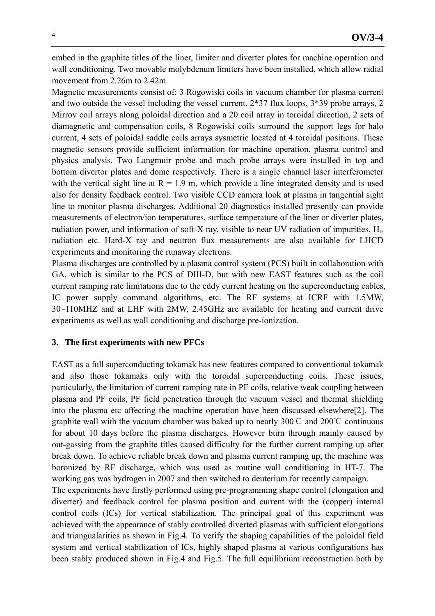embed in the graphite titles of the liner, limiter and diverter plates for machine operation and wall conditioning. Two movable molybdenum limiters have been installed, which allow radial movement from 2.26m to 2.42m.

Magnetic measurements consist of: 3 Rogowiski coils in vacuum chamber for plasma current and two outside the vessel including the vessel current, 2\*37 flux loops, 3\*39 probe arrays, 2 Mirrov coil arrays along poloidal direction and a 20 coil array in toroidal direction, 2 sets of diamagnetic and compensation coils, 8 Rogowiski coils surround the support legs for halo current, 4 sets of poloidal saddle coils arrays sysmetric located at 4 toroidal positions. These magnetic sensors provide sufficient information for machine operation, plasma control and physics analysis. Two Langmuir probe and mach probe arrays were installed in top and bottom divertor plates and dome respectively. There is a single channel laser interferometer with the vertical sight line at  $R = 1.9$  m, which provide a line integrated density and is used also for density feedback control. Two visible CCD camera look at plasma in tangential sight line to monitor plasma discharges. Additional 20 diagnostics installed presently can provide measurements of electron/ion temperatures, surface temperature of the liner or diverter plates, radiation power, and information of soft-X ray, visible to near UV radiation of impurities,  $H_{\alpha}$ radiation etc. Hard-X ray and neutron flux measurements are also available for LHCD experiments and monitoring the runaway electrons.

Plasma discharges are controlled by a plasma control system (PCS) built in collaboration with GA, which is similar to the PCS of DIII-D, but with new EAST features such as the coil current ramping rate limitations due to the eddy current heating on the superconducting cables, IC power supply command algorithms, etc. The RF systems at ICRF with 1.5MW, 30~110MHZ and at LHF with 2MW, 2.45GHz are available for heating and current drive experiments as well as wall conditioning and discharge pre-ionization.

#### **3. The first experiments with new PFCs**

EAST as a full superconducting tokamak has new features compared to conventional tokamak and also those tokamaks only with the toroidal superconducting coils. These issues, particularly, the limitation of current ramping rate in PF coils, relative weak coupling between plasma and PF coils, PF field penetration through the vacuum vessel and thermal shielding into the plasma etc affecting the machine operation have been discussed elsewhere[2]. The graphite wall with the vacuum chamber was baked up to nearly 300℃ and 200℃ continuous for about 10 days before the plasma discharges. However burn through mainly caused by out-gassing from the graphite titles caused difficulty for the further current ramping up after break down. To achieve reliable break down and plasma current ramping up, the machine was boronized by RF discharge, which was used as routine wall conditioning in HT-7. The working gas was hydrogen in 2007 and then switched to deuterium for recently campaign.

The experiments have firstly performed using pre-programming shape control (elongation and diverter) and feedback control for plasma position and current with the (copper) internal control coils (ICs) for vertical stabilization. The principal goal of this experiment was achieved with the appearance of stably controlled diverted plasmas with sufficient elongations and triangualarities as shown in Fig.4. To verify the shaping capabilities of the poloidal field system and vertical stabilization of ICs, highly shaped plasma at various configurations has been stably produced shown in Fig.4 and Fig.5. The full equilibrium reconstruction both by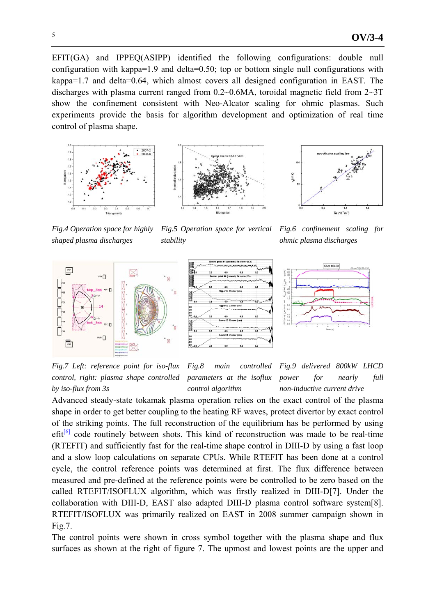EFIT(GA) and IPPEQ(ASIPP) identified the following configurations: double null configuration with kappa=1.9 and delta=0.50; top or bottom single null configurations with kappa=1.7 and delta=0.64, which almost covers all designed configuration in EAST. The discharges with plasma current ranged from 0.2~0.6MA, toroidal magnetic field from 2~3T show the confinement consistent with Neo-Alcator scaling for ohmic plasmas. Such experiments provide the basis for algorithm development and optimization of real time control of plasma shape.







*Fig.6 confinement scaling for* 

*Fig.4 Operation space for highly shaped plasma discharges* 

*Fig.5 Operation space for vertical stability* 

*ohmic plasma discharges*  Shot #8460



 $0.006$ <br> $0.004$ <br> $0.002$  $-0.001$  $-1.0$ <br>  $-2.0$ <br>  $-4.0$ <br>  $-6.0$ <br>  $-3.0$  $\hat{a}$ er X Zerror (cn 8.0<br>6.0<br>4.0<br>2.0  $\frac{1}{60}$ 



*Fig.7 Left: reference point for iso-flux control, right: plasma shape controlled by iso-flux from 3s* 

*Fig.8 main controlled parameters at the isoflux control algorithm* 

*Fig.9 delivered 800kW LHCD power for nearly full non-inductive current drive* 

Advanced steady-state tokamak plasma operation relies on the exact control of the plasma shape in order to get better coupling to the heating RF waves, protect divertor by exact control of the striking points. The full reconstruction of the equilibrium has be performed by using  $\text{eff}^{[6]}$  code routinely between shots. This kind of reconstruction was made to be real-time (RTEFIT) and sufficiently fast for the real-time shape control in DIII-D by using a fast loop and a slow loop calculations on separate CPUs. While RTEFIT has been done at a control cycle, the control reference points was determined at first. The flux difference between measured and pre-defined at the reference points were be controlled to be zero based on the called RTEFIT/ISOFLUX algorithm, which was firstly realized in DIII-D[7]. Under the collaboration with DIII-D, EAST also adapted DIII-D plasma control software system[8]. RTEFIT/ISOFLUX was primarily realized on EAST in 2008 summer campaign shown in Fig.7.

The control points were shown in cross symbol together with the plasma shape and flux surfaces as shown at the right of figure 7. The upmost and lowest points are the upper and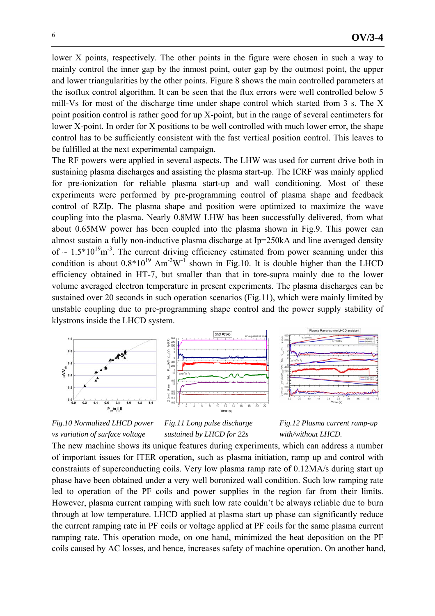lower X points, respectively. The other points in the figure were chosen in such a way to mainly control the inner gap by the inmost point, outer gap by the outmost point, the upper and lower triangularities by the other points. Figure 8 shows the main controlled parameters at the isoflux control algorithm. It can be seen that the flux errors were well controlled below 5 mill-Vs for most of the discharge time under shape control which started from 3 s. The X point position control is rather good for up X-point, but in the range of several centimeters for lower X-point. In order for X positions to be well controlled with much lower error, the shape control has to be sufficiently consistent with the fast vertical position control. This leaves to be fulfilled at the next experimental campaign.

The RF powers were applied in several aspects. The LHW was used for current drive both in sustaining plasma discharges and assisting the plasma start-up. The ICRF was mainly applied for pre-ionization for reliable plasma start-up and wall conditioning. Most of these experiments were performed by pre-programming control of plasma shape and feedback control of RZIp. The plasma shape and position were optimized to maximize the wave coupling into the plasma. Nearly 0.8MW LHW has been successfully delivered, from what about 0.65MW power has been coupled into the plasma shown in Fig.9. This power can almost sustain a fully non-inductive plasma discharge at Ip=250kA and line averaged density of  $\sim 1.5*10^{19}$  m<sup>-3</sup>. The current driving efficiency estimated from power scanning under this condition is about  $0.8*10^{19}$  Am<sup>-2</sup>W<sup>-1</sup> shown in Fig.10. It is double higher than the LHCD efficiency obtained in HT-7, but smaller than that in tore-supra mainly due to the lower volume averaged electron temperature in present experiments. The plasma discharges can be sustained over 20 seconds in such operation scenarios (Fig.11), which were mainly limited by unstable coupling due to pre-programming shape control and the power supply stability of klystrons inside the LHCD system.



*Fig.10 Normalized LHCD power vs variation of surface voltage* 

*Fig.11 Long pulse discharge sustained by LHCD for 22s* 



The new machine shows its unique features during experiments, which can address a number of important issues for ITER operation, such as plasma initiation, ramp up and control with constraints of superconducting coils. Very low plasma ramp rate of 0.12MA/s during start up phase have been obtained under a very well boronized wall condition. Such low ramping rate led to operation of the PF coils and power supplies in the region far from their limits. However, plasma current ramping with such low rate couldn't be always reliable due to burn through at low temperature. LHCD applied at plasma start up phase can significantly reduce the current ramping rate in PF coils or voltage applied at PF coils for the same plasma current ramping rate. This operation mode, on one hand, minimized the heat deposition on the PF coils caused by AC losses, and hence, increases safety of machine operation. On another hand,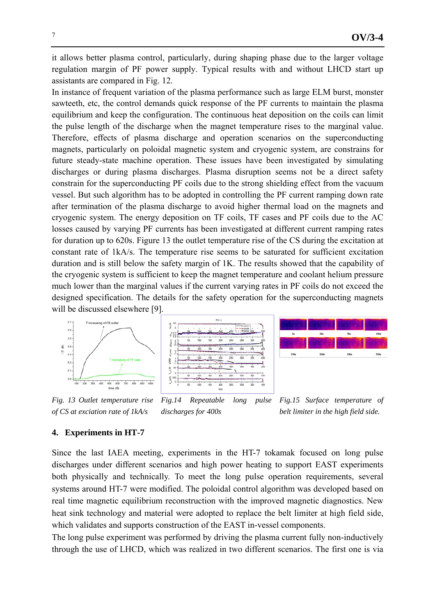it allows better plasma control, particularly, during shaping phase due to the larger voltage regulation margin of PF power supply. Typical results with and without LHCD start up assistants are compared in Fig. 12.

In instance of frequent variation of the plasma performance such as large ELM burst, monster sawteeth, etc, the control demands quick response of the PF currents to maintain the plasma equilibrium and keep the configuration. The continuous heat deposition on the coils can limit the pulse length of the discharge when the magnet temperature rises to the marginal value. Therefore, effects of plasma discharge and operation scenarios on the superconducting magnets, particularly on poloidal magnetic system and cryogenic system, are constrains for future steady-state machine operation. These issues have been investigated by simulating discharges or during plasma discharges. Plasma disruption seems not be a direct safety constrain for the superconducting PF coils due to the strong shielding effect from the vacuum vessel. But such algorithm has to be adopted in controlling the PF current ramping down rate after termination of the plasma discharge to avoid higher thermal load on the magnets and cryogenic system. The energy deposition on TF coils, TF cases and PF coils due to the AC losses caused by varying PF currents has been investigated at different current ramping rates for duration up to 620s. Figure 13 the outlet temperature rise of the CS during the excitation at constant rate of 1kA/s. The temperature rise seems to be saturated for sufficient excitation duration and is still below the safety margin of 1K. The results showed that the capability of the cryogenic system is sufficient to keep the magnet temperature and coolant helium pressure much lower than the marginal values if the current varying rates in PF coils do not exceed the designed specification. The details for the safety operation for the superconducting magnets will be discussed elsewhere [9].



*Fig. 13 Outlet temperature rise of CS at exciation rate of 1kA/s Fig.14 Repeatable long pulse discharges for 400s* 

*Fig.15 Surface temperature of belt limiter in the high field side.* 

## **4. Experiments in HT-7**

Since the last IAEA meeting, experiments in the HT-7 tokamak focused on long pulse discharges under different scenarios and high power heating to support EAST experiments both physically and technically. To meet the long pulse operation requirements, several systems around HT-7 were modified. The poloidal control algorithm was developed based on real time magnetic equilibrium reconstruction with the improved magnetic diagnostics. New heat sink technology and material were adopted to replace the belt limiter at high field side, which validates and supports construction of the EAST in-vessel components.

The long pulse experiment was performed by driving the plasma current fully non-inductively through the use of LHCD, which was realized in two different scenarios. The first one is via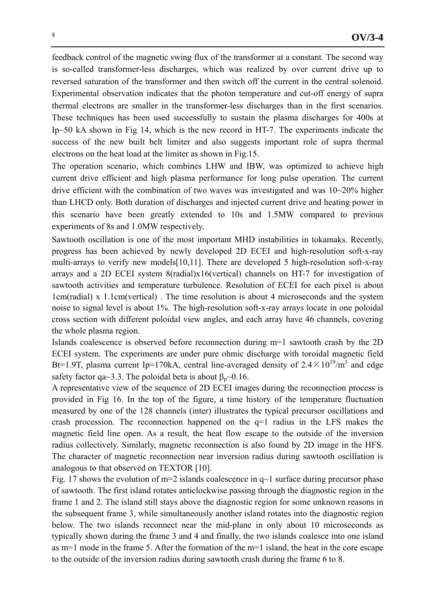feedback control of the magnetic swing flux of the transformer at a constant. The second way is so-called transformer-less discharges, which was realized by over current drive up to reversed saturation of the transformer and then switch off the current in the central solenoid. Experimental observation indicates that the photon temperature and cut-off energy of supra thermal electrons are smaller in the transformer-less discharges than in the first scenarios. These techniques has been used successfully to sustain the plasma discharges for 400s at Ip~50 kA shown in Fig 14, which is the new record in HT-7. The experiments indicate the success of the new built belt limiter and also suggests important role of supra thermal electrons on the heat load at the limiter as shown in Fig.15.

The operation scenario, which combines LHW and IBW, was optimized to achieve high current drive efficient and high plasma performance for long pulse operation. The current drive efficient with the combination of two waves was investigated and was 10~20% higher than LHCD only. Both duration of discharges and injected current drive and heating power in this scenario have been greatly extended to 10s and 1.5MW compared to previous experiments of 8s and 1.0MW respectively.

Sawtooth oscillation is one of the most important MHD instabilities in tokamaks. Recently, progress has been achieved by newly developed 2D ECEI and high-resolution soft-x-ray multi-arrays to verify new models[10,11]. There are developed 5 high-resolution soft-x-ray arrays and a 2D ECEI system 8(radial)x16(vertical) channels on HT-7 for investigation of sawtooth activities and temperature turbulence. Resolution of ECEI for each pixel is about 1cm(radial) x 1.1cm(vertical) . The time resolution is about 4 microseconds and the system noise to signal level is about 1%. The high-resolution soft-x-ray arrays locate in one poloidal cross section with different poloidal view angles, and each array have 46 channels, covering the whole plasma region.

Islands coalescence is observed before reconnection during m=1 sawtooth crash by the 2D ECEI system. The experiments are under pure ohmic discharge with toroidal magnetic field Bt=1.9T, plasma current Ip=170kA, central line-averaged density of  $2.4 \times 10^{19}$ /m<sup>3</sup> and edge safety factor qa~3.3. The poloidal beta is about  $\beta_n \sim 0.16$ .

A representative view of the sequence of 2D ECEI images during the reconnection process is provided in Fig 16. In the top of the figure, a time history of the temperature fluctuation measured by one of the 128 channels (inter) illustrates the typical precursor oscillations and crash procession. The reconnection happened on the  $q=1$  radius in the LFS makes the magnetic field line open. As a result, the heat flow escape to the outside of the inversion radius collectively. Similarly, magnetic reconnection is also found by 2D image in the HFS. The character of magnetic reconnection near inversion radius during sawtooth oscillation is analogous to that observed on TEXTOR [10].

Fig. 17 shows the evolution of  $m=2$  islands coalescence in  $q\sim1$  surface during precursor phase of sawtooth. The first island rotates anticlockwise passing through the diagnostic region in the frame 1 and 2. The island still stays above the diagnostic region for some unknown reasons in the subsequent frame 3, while simultaneously another island rotates into the diagnostic region below. The two islands reconnect near the mid-plane in only about 10 microseconds as typically shown during the frame 3 and 4 and finally, the two islands coalesce into one island as m=1 mode in the frame 5. After the formation of the m=1 island, the heat in the core escape to the outside of the inversion radius during sawtooth crash during the frame 6 to 8.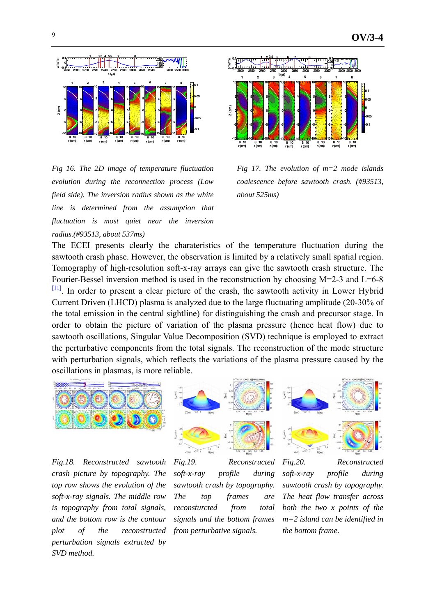

*Fig 16. The 2D image of temperature fluctuation evolution during the reconnection process (Low field side). The inversion radius shown as the white line is determined from the assumption that fluctuation is most quiet near the inversion radius.(#93513, about 537ms)* 



*Fig 17. The evolution of m=2 mode islands coalescence before sawtooth crash. (#93513, about 525ms)* 

The ECEI presents clearly the charateristics of the temperature fluctuation during the sawtooth crash phase. However, the observation is limited by a relatively small spatial region. Tomography of high-resolution soft-x-ray arrays can give the sawtooth crash structure. The Fourier-Bessel inversion method is used in the reconstruction by choosing M=2-3 and L=6-8  $[11]$ . In order to present a clear picture of the crash, the sawtooth activity in Lower Hybrid Current Driven (LHCD) plasma is analyzed due to the large fluctuating amplitude (20-30% of the total emission in the central sightline) for distinguishing the crash and precursor stage. In order to obtain the picture of variation of the plasma pressure (hence heat flow) due to sawtooth oscillations, Singular Value Decomposition (SVD) technique is employed to extract the perturbative components from the total signals. The reconstruction of the mode structure with perturbation signals, which reflects the variations of the plasma pressure caused by the oscillations in plasmas, is more reliable.



*Fig.18. Reconstructed sawtooth crash picture by topography. The top row shows the evolution of the soft-x-ray signals. The middle row is topography from total signals, and the bottom row is the contour plot of the reconstructed perturbation signals extracted by SVD method.* 



*Fig.19. Reconstructed soft-x-ray profile during sawtooth crash by topography. The top frames are reconsturcted from total signals and the bottom frames from perturbative signals.* 



*Fig.20. Reconstructed soft-x-ray profile during sawtooth crash by topography. The heat flow transfer across both the two x points of the m=2 island can be identified in the bottom frame.*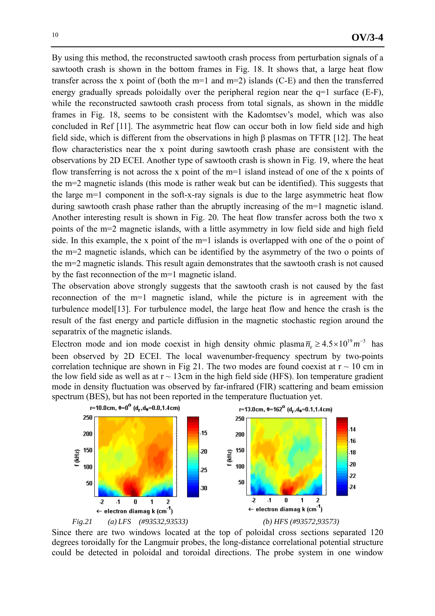By using this method, the reconstructed sawtooth crash process from perturbation signals of a sawtooth crash is shown in the bottom frames in Fig. 18. It shows that, a large heat flow transfer across the x point of (both the m=1 and m=2) islands (C-E) and then the transferred energy gradually spreads poloidally over the peripheral region near the q=1 surface (E-F), while the reconstructed sawtooth crash process from total signals, as shown in the middle frames in Fig. 18, seems to be consistent with the Kadomtsev's model, which was also concluded in Ref [11]. The asymmetric heat flow can occur both in low field side and high field side, which is different from the observations in high β plasmas on TFTR [12]. The heat flow characteristics near the x point during sawtooth crash phase are consistent with the observations by 2D ECEI. Another type of sawtooth crash is shown in Fig. 19, where the heat flow transferring is not across the x point of the m=1 island instead of one of the x points of the m=2 magnetic islands (this mode is rather weak but can be identified). This suggests that the large m=1 component in the soft-x-ray signals is due to the large asymmetric heat flow during sawtooth crash phase rather than the abruptly increasing of the m=1 magnetic island. Another interesting result is shown in Fig. 20. The heat flow transfer across both the two x points of the m=2 magnetic islands, with a little asymmetry in low field side and high field side. In this example, the x point of the m=1 islands is overlapped with one of the o point of the m=2 magnetic islands, which can be identified by the asymmetry of the two o points of the m=2 magnetic islands. This result again demonstrates that the sawtooth crash is not caused by the fast reconnection of the m=1 magnetic island.

The observation above strongly suggests that the sawtooth crash is not caused by the fast reconnection of the m=1 magnetic island, while the picture is in agreement with the turbulence model[13]. For turbulence model, the large heat flow and hence the crash is the result of the fast energy and particle diffusion in the magnetic stochastic region around the separatrix of the magnetic islands.

Electron mode and ion mode coexist in high density ohmic plasma  $\overline{n}_e \ge 4.5 \times 10^{19} m^{-3}$  has been observed by 2D ECEI. The local wavenumber-frequency spectrum by two-points correlation technique are shown in Fig 21. The two modes are found coexist at  $r \sim 10$  cm in the low field side as well as at  $r \sim 13$ cm in the high field side (HFS). Ion temperature gradient mode in density fluctuation was observed by far-infrared (FIR) scattering and beam emission spectrum (BES), but has not been reported in the temperature fluctuation yet.



Since there are two windows located at the top of poloidal cross sections separated 120 degrees toroidally for the Langmuir probes, the long-distance correlational potential structure could be detected in poloidal and toroidal directions. The probe system in one window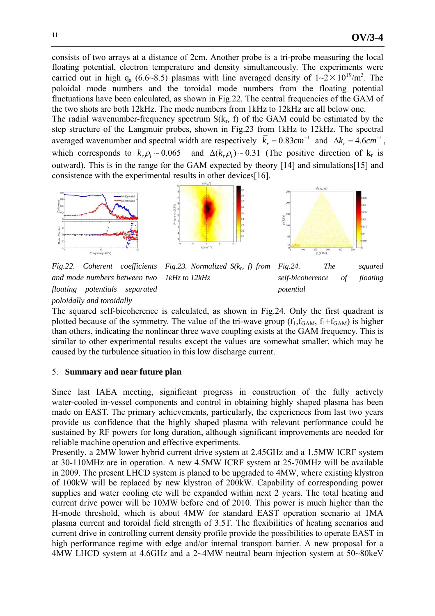consists of two arrays at a distance of 2cm. Another probe is a tri-probe measuring the local floating potential, electron temperature and density simultaneously. The experiments were carried out in high  $q_a$  (6.6~8.5) plasmas with line averaged density of  $1 \sim 2 \times 10^{19}$ /m<sup>3</sup>. The poloidal mode numbers and the toroidal mode numbers from the floating potential fluctuations have been calculated, as shown in Fig.22. The central frequencies of the GAM of the two shots are both 12kHz. The mode numbers from 1kHz to 12kHz are all below one.

The radial wavenumber-frequency spectrum  $S(k_r, f)$  of the GAM could be estimated by the step structure of the Langmuir probes, shown in Fig.23 from 1kHz to 12kHz. The spectral averaged wavenumber and spectral width are respectively  $\overline{k}_r = 0.83 cm^{-1}$  and  $\Delta k_r = 4.6 cm^{-1}$ , which corresponds to  $k_p \rho_i \sim 0.065$  and  $\Delta(k_p \rho_i) \sim 0.31$  (The positive direction of  $k_r$  is outward). This is in the range for the GAM expected by theory [14] and simulations[15] and consistence with the experimental results in other devices[16].



*Fig.22. Coherent coefficients and mode numbers between two floating potentials separated poloidally and toroidally Fig.23. Normalized S(k<sub>p</sub>, f) from 1kHz to 12kHz Fig.24. The squared self-bicoherence of floating potential* 

The squared self-bicoherence is calculated, as shown in Fig.24. Only the first quadrant is plotted because of the symmetry. The value of the tri-wave group  $(f_1, f_{GAM}, f_1+f_{GAM})$  is higher than others, indicating the nonlinear three wave coupling exists at the GAM frequency. This is similar to other experimental results except the values are somewhat smaller, which may be caused by the turbulence situation in this low discharge current.

## 5. **Summary and near future plan**

Since last IAEA meeting, significant progress in construction of the fully actively water-cooled in-vessel components and control in obtaining highly shaped plasma has been made on EAST. The primary achievements, particularly, the experiences from last two years provide us confidence that the highly shaped plasma with relevant performance could be sustained by RF powers for long duration, although significant improvements are needed for reliable machine operation and effective experiments.

Presently, a 2MW lower hybrid current drive system at 2.45GHz and a 1.5MW ICRF system at 30-110MHz are in operation. A new 4.5MW ICRF system at 25-70MHz will be available in 2009. The present LHCD system is planed to be upgraded to 4MW, where existing klystron of 100kW will be replaced by new klystron of 200kW. Capability of corresponding power supplies and water cooling etc will be expanded within next 2 years. The total heating and current drive power will be 10MW before end of 2010. This power is much higher than the H-mode threshold, which is about 4MW for standard EAST operation scenario at 1MA plasma current and toroidal field strength of 3.5T. The flexibilities of heating scenarios and current drive in controlling current density profile provide the possibilities to operate EAST in high performance regime with edge and/or internal transport barrier. A new proposal for a 4MW LHCD system at 4.6GHz and a 2~4MW neutral beam injection system at 50~80keV